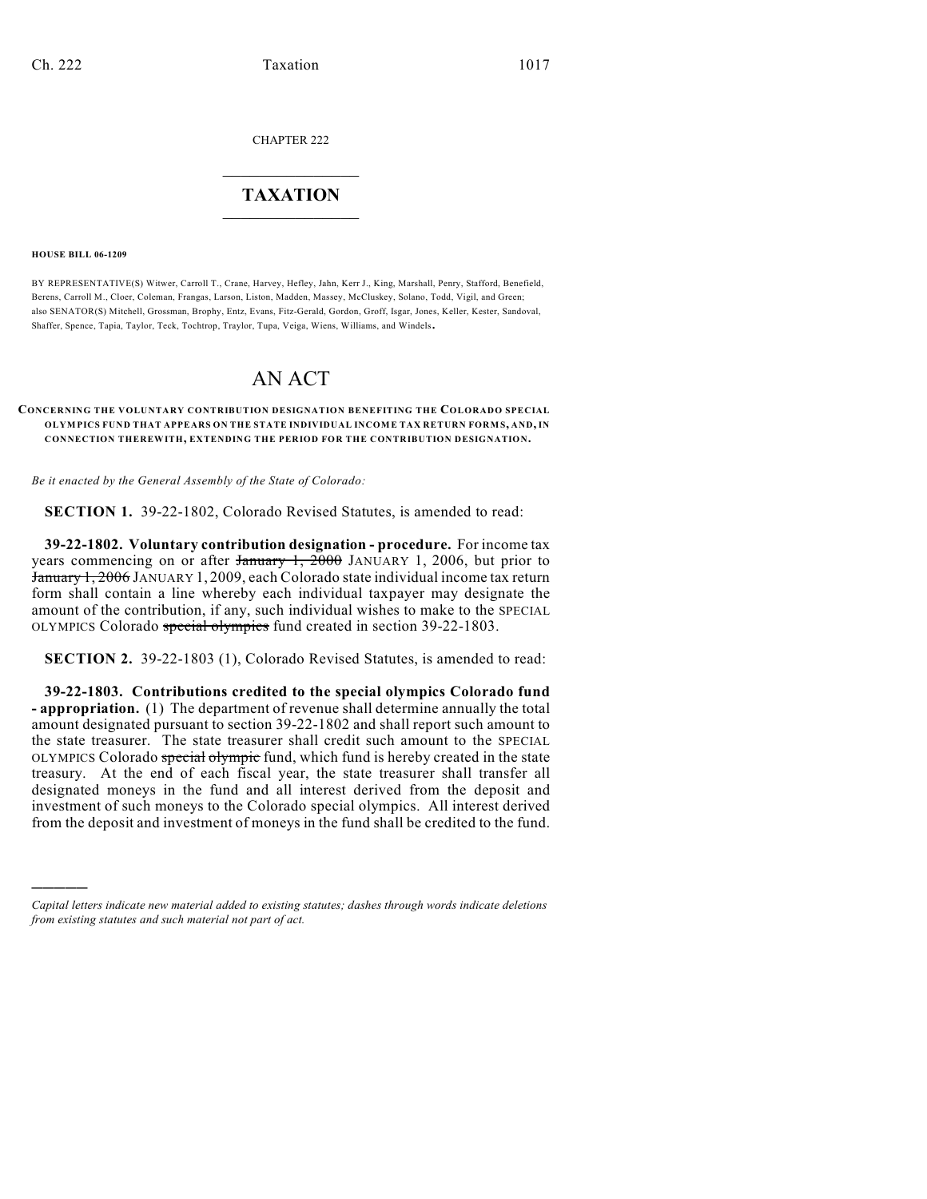CHAPTER 222

## $\mathcal{L}_\text{max}$  . The set of the set of the set of the set of the set of the set of the set of the set of the set of the set of the set of the set of the set of the set of the set of the set of the set of the set of the set **TAXATION**  $\_$

**HOUSE BILL 06-1209**

)))))

BY REPRESENTATIVE(S) Witwer, Carroll T., Crane, Harvey, Hefley, Jahn, Kerr J., King, Marshall, Penry, Stafford, Benefield, Berens, Carroll M., Cloer, Coleman, Frangas, Larson, Liston, Madden, Massey, McCluskey, Solano, Todd, Vigil, and Green; also SENATOR(S) Mitchell, Grossman, Brophy, Entz, Evans, Fitz-Gerald, Gordon, Groff, Isgar, Jones, Keller, Kester, Sandoval, Shaffer, Spence, Tapia, Taylor, Teck, Tochtrop, Traylor, Tupa, Veiga, Wiens, Williams, and Windels.

## AN ACT

## **CONCERNING THE VOLUNTARY CONTRIBUTION DESIGNATION BENEFITING THE COLORADO SPECIAL OLYM PICS FUND THAT APPEARS ON THE STATE INDIVIDUAL INCOM E TAX RETURN FORM S, AND, IN CONNECTION THEREWITH, EXTENDING THE PERIOD FOR THE CONTRIBUTION DESIGNATION.**

*Be it enacted by the General Assembly of the State of Colorado:*

**SECTION 1.** 39-22-1802, Colorado Revised Statutes, is amended to read:

**39-22-1802. Voluntary contribution designation - procedure.** For income tax years commencing on or after  $\frac{1}{2000}$  JANUARY 1, 2006, but prior to January 1, 2006 JANUARY 1, 2009, each Colorado state individual income tax return form shall contain a line whereby each individual taxpayer may designate the amount of the contribution, if any, such individual wishes to make to the SPECIAL OLYMPICS Colorado special olympics fund created in section 39-22-1803.

**SECTION 2.** 39-22-1803 (1), Colorado Revised Statutes, is amended to read:

**39-22-1803. Contributions credited to the special olympics Colorado fund - appropriation.** (1) The department of revenue shall determine annually the total amount designated pursuant to section 39-22-1802 and shall report such amount to the state treasurer. The state treasurer shall credit such amount to the SPECIAL OLYMPICS Colorado special olympic fund, which fund is hereby created in the state treasury. At the end of each fiscal year, the state treasurer shall transfer all designated moneys in the fund and all interest derived from the deposit and investment of such moneys to the Colorado special olympics. All interest derived from the deposit and investment of moneys in the fund shall be credited to the fund.

*Capital letters indicate new material added to existing statutes; dashes through words indicate deletions from existing statutes and such material not part of act.*